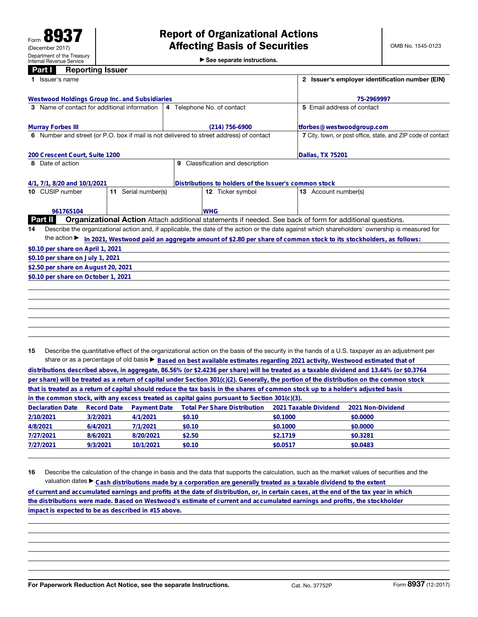| See separate instructions. |
|----------------------------|
|----------------------------|

| <b>Reporting Issuer</b><br>Part I                                                       |                                                       |                                                                                                                                                 |  |  |
|-----------------------------------------------------------------------------------------|-------------------------------------------------------|-------------------------------------------------------------------------------------------------------------------------------------------------|--|--|
| Issuer's name                                                                           | 2 Issuer's employer identification number (EIN)       |                                                                                                                                                 |  |  |
| <b>Westwood Holdings Group Inc. and Subsidiaries</b>                                    |                                                       | 75-2969997                                                                                                                                      |  |  |
| 3 Name of contact for additional information                                            | 4 Telephone No. of contact                            | 5 Email address of contact                                                                                                                      |  |  |
| <b>Murray Forbes III</b>                                                                | $(214)$ 756-6900                                      | tforbes@westwoodgroup.com                                                                                                                       |  |  |
| 6 Number and street (or P.O. box if mail is not delivered to street address) of contact |                                                       | 7 City, town, or post office, state, and ZIP code of contact                                                                                    |  |  |
| 200 Crescent Court, Suite 1200                                                          |                                                       | Dallas, TX 75201                                                                                                                                |  |  |
| 8 Date of action                                                                        | 9 Classification and description                      |                                                                                                                                                 |  |  |
| 4/1, 7/1, 8/20 and 10/1/2021                                                            | Distributions to holders of the Issuer's common stock |                                                                                                                                                 |  |  |
| 10 CUSIP number<br>11 Serial number(s)                                                  | 12 Ticker symbol                                      | 13 Account number(s)                                                                                                                            |  |  |
| 961765104                                                                               | <b>WHG</b>                                            |                                                                                                                                                 |  |  |
| Part II                                                                                 |                                                       | Organizational Action Attach additional statements if needed. See back of form for additional questions.                                        |  |  |
| 14                                                                                      |                                                       | Describe the organizational action and, if applicable, the date of the action or the date against which shareholders' ownership is measured for |  |  |
|                                                                                         |                                                       | the action In 2021, Westwood paid an aggregate amount of \$2.80 per share of common stock to its stockholders, as follows:                      |  |  |
| \$0.10 per share on April 1, 2021                                                       |                                                       |                                                                                                                                                 |  |  |
| \$0.10 per share on July 1, 2021                                                        |                                                       |                                                                                                                                                 |  |  |
| \$2.50 per share on August 20, 2021                                                     |                                                       |                                                                                                                                                 |  |  |
| \$0.10 per share on October 1, 2021                                                     |                                                       |                                                                                                                                                 |  |  |
|                                                                                         |                                                       |                                                                                                                                                 |  |  |
|                                                                                         |                                                       |                                                                                                                                                 |  |  |
|                                                                                         |                                                       |                                                                                                                                                 |  |  |
|                                                                                         |                                                       |                                                                                                                                                 |  |  |
|                                                                                         |                                                       |                                                                                                                                                 |  |  |
|                                                                                         |                                                       |                                                                                                                                                 |  |  |
|                                                                                         |                                                       |                                                                                                                                                 |  |  |

15 Describe the quantitative effect of the organizational action on the basis of the security in the hands of a U.S. taxpayer as an adjustment per

|                         |                    |                     | share or as a percentage of old basis > Based on best available estimates regarding 2021 activity, Westwood estimated that of             |                       |                   |
|-------------------------|--------------------|---------------------|-------------------------------------------------------------------------------------------------------------------------------------------|-----------------------|-------------------|
|                         |                    |                     | distributions described above, in aggregate, 86.56% (or \$2.4236 per share) will be treated as a taxable dividend and 13.44% (or \$0.3764 |                       |                   |
|                         |                    |                     | per share) will be treated as a return of capital under Section 301(c)(2). Generally, the portion of the distribution on the common stock |                       |                   |
|                         |                    |                     | that is treated as a return of capital should reduce the tax basis in the shares of common stock up to a holder's adjusted basis          |                       |                   |
|                         |                    |                     | in the common stock, with any excess treated as capital gains pursuant to Section $301(c)(3)$ .                                           |                       |                   |
| <b>Declaration Date</b> | <b>Record Date</b> | <b>Payment Date</b> | <b>Total Per Share Distribution</b>                                                                                                       | 2021 Taxable Dividend | 2021 Non-Dividend |
| 2/10/2021               | 3/2/2021           | 4/1/2021            | \$0.10                                                                                                                                    | \$0.1000              | \$0.0000          |
| 4/8/2021                | 6/4/2021           | 7/1/2021            | \$0.10                                                                                                                                    | \$0.1000              | \$0.0000          |
| 7/27/2021               | 8/6/2021           | 8/20/2021           | \$2.50                                                                                                                                    | \$2.1719              | \$0.3281          |
|                         | 9/3/2021           | 10/1/2021           | \$0.10                                                                                                                                    | \$0.0517              | \$0.0483          |
| 7/27/2021               |                    |                     |                                                                                                                                           |                       |                   |

16 Describe the calculation of the change in basis and the data that supports the calculation, such as the market values of securities and the valuation dates ▶ **Cash distributions made by a corporation are generally treated as a taxable dividend to the extent**

**of current and accumulated earnings and profits at the date of distribution, or, in certain cases, at the end of the tax year in which the distributions were made. Based on Westwood's estimate of current and accumulated earnings and profits, the stockholder impact is expected to be as described in #15 above.**